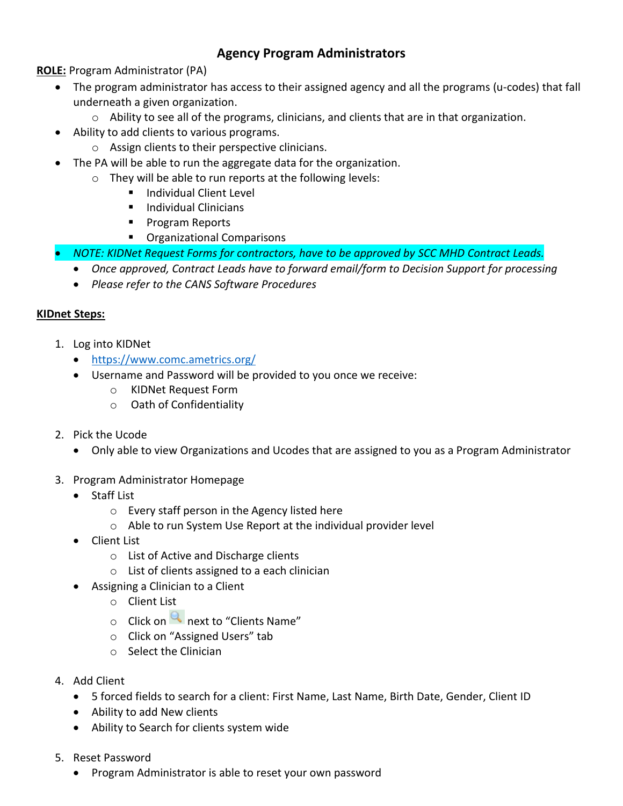# **Agency Program Administrators**

**ROLE:** Program Administrator (PA)

- The program administrator has access to their assigned agency and all the programs (u-codes) that fall underneath a given organization.
	- o Ability to see all of the programs, clinicians, and clients that are in that organization.
- Ability to add clients to various programs.
	- o Assign clients to their perspective clinicians.
- The PA will be able to run the aggregate data for the organization.
	- o They will be able to run reports at the following levels:
		- Individual Client Level
		- **Individual Clinicians**
		- **Program Reports**
		- **•** Organizational Comparisons
- *NOTE: KIDNet Request Forms for contractors, have to be approved by SCC MHD Contract Leads.* 
	- *Once approved, Contract Leads have to forward email/form to Decision Support for processing*
	- *Please refer to the CANS Software Procedures*

# **KIDnet Steps:**

- 1. Log into KIDNet
	- <https://www.comc.ametrics.org/>
	- Username and Password will be provided to you once we receive:
		- o KIDNet Request Form
		- o Oath of Confidentiality
- 2. Pick the Ucode
	- Only able to view Organizations and Ucodes that are assigned to you as a Program Administrator
- 3. Program Administrator Homepage
	- Staff List
		- o Every staff person in the Agency listed here
		- o Able to run System Use Report at the individual provider level
	- Client List
		- o List of Active and Discharge clients
		- o List of clients assigned to a each clinician
	- Assigning a Clinician to a Client
		- o Client List
		- $\circ$  Click on  $\Omega$  next to "Clients Name"
		- o Click on "Assigned Users" tab
		- o Select the Clinician
- 4. Add Client
	- 5 forced fields to search for a client: First Name, Last Name, Birth Date, Gender, Client ID
	- Ability to add New clients
	- Ability to Search for clients system wide
- 5. Reset Password
	- Program Administrator is able to reset your own password